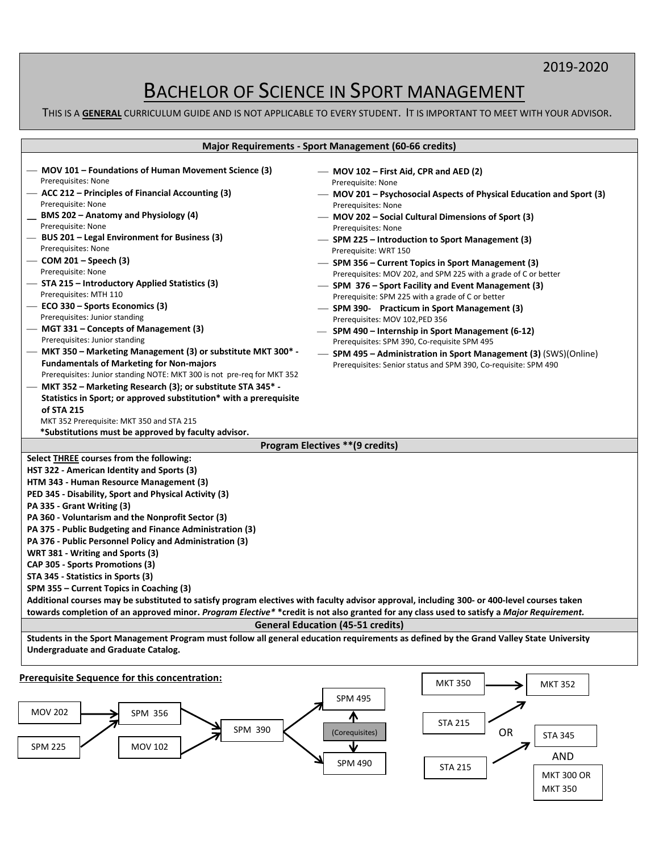## 2019-2020

# BACHELOR OF SCIENCE IN SPORT MANAGEMENT

THIS IS A **GENERAL** CURRICULUM GUIDE AND IS NOT APPLICABLE TO EVERY STUDENT. IT IS IMPORTANT TO MEET WITH YOUR ADVISOR.

| Major Requirements - Sport Management (60-66 credits)                                                                                                                                                                                                                                                                                                                                                                                                                                                                                                                                                                                                                                                                                                                                                                                                                                                                                                                                          |                                                                                                                                                                                                                                                                                                                                                                                                                                                                                                                                                                                                                                                                                                                                                                                                                                                                                            |  |  |
|------------------------------------------------------------------------------------------------------------------------------------------------------------------------------------------------------------------------------------------------------------------------------------------------------------------------------------------------------------------------------------------------------------------------------------------------------------------------------------------------------------------------------------------------------------------------------------------------------------------------------------------------------------------------------------------------------------------------------------------------------------------------------------------------------------------------------------------------------------------------------------------------------------------------------------------------------------------------------------------------|--------------------------------------------------------------------------------------------------------------------------------------------------------------------------------------------------------------------------------------------------------------------------------------------------------------------------------------------------------------------------------------------------------------------------------------------------------------------------------------------------------------------------------------------------------------------------------------------------------------------------------------------------------------------------------------------------------------------------------------------------------------------------------------------------------------------------------------------------------------------------------------------|--|--|
| - MOV 101 – Foundations of Human Movement Science (3)<br>Prerequisites: None<br>- ACC 212 - Principles of Financial Accounting (3)<br>Prerequisite: None<br>BMS 202 - Anatomy and Physiology (4)<br>Prerequisite: None<br>- BUS 201 – Legal Environment for Business (3)<br>Prerequisites: None<br>— COM 201 – Speech $(3)$<br>Prerequisite: None<br>- STA 215 - Introductory Applied Statistics (3)<br>Prerequisites: MTH 110<br>$-$ ECO 330 – Sports Economics (3)<br>Prerequisites: Junior standing<br>— MGT 331 – Concepts of Management (3)<br>Prerequisites: Junior standing<br>- MKT 350 – Marketing Management (3) or substitute MKT 300 <sup>*</sup> -<br><b>Fundamentals of Marketing for Non-majors</b><br>Prerequisites: Junior standing NOTE: MKT 300 is not pre-req for MKT 352<br>- MKT 352 - Marketing Research (3); or substitute STA 345* -<br>Statistics in Sport; or approved substitution* with a prerequisite<br>of STA 215<br>MKT 352 Prerequisite: MKT 350 and STA 215 | - MOV 102 – First Aid, CPR and AED (2)<br>Prerequisite: None<br>— MOV 201 – Psychosocial Aspects of Physical Education and Sport (3)<br>Prerequisites: None<br>- MOV 202 – Social Cultural Dimensions of Sport (3)<br>Prerequisites: None<br>- SPM 225 – Introduction to Sport Management (3)<br>Prerequisite: WRT 150<br>- SPM 356 – Current Topics in Sport Management (3)<br>Prerequisites: MOV 202, and SPM 225 with a grade of C or better<br>- SPM 376 – Sport Facility and Event Management (3)<br>Prerequisite: SPM 225 with a grade of C or better<br>- SPM 390- Practicum in Sport Management (3)<br>Prerequisites: MOV 102, PED 356<br>- SPM 490 – Internship in Sport Management (6-12)<br>Prerequisites: SPM 390, Co-requisite SPM 495<br>- SPM 495 – Administration in Sport Management (3) (SWS)(Online)<br>Prerequisites: Senior status and SPM 390, Co-requisite: SPM 490 |  |  |
| *Substitutions must be approved by faculty advisor.                                                                                                                                                                                                                                                                                                                                                                                                                                                                                                                                                                                                                                                                                                                                                                                                                                                                                                                                            | Program Electives ** (9 credits)                                                                                                                                                                                                                                                                                                                                                                                                                                                                                                                                                                                                                                                                                                                                                                                                                                                           |  |  |
| Select THREE courses from the following:<br>HST 322 - American Identity and Sports (3)<br>HTM 343 - Human Resource Management (3)<br>PED 345 - Disability, Sport and Physical Activity (3)<br>PA 335 - Grant Writing (3)<br>PA 360 - Voluntarism and the Nonprofit Sector (3)<br>PA 375 - Public Budgeting and Finance Administration (3)<br>PA 376 - Public Personnel Policy and Administration (3)<br>WRT 381 - Writing and Sports (3)<br>CAP 305 - Sports Promotions (3)<br>STA 345 - Statistics in Sports (3)<br>SPM 355 – Current Topics in Coaching (3)<br>Additional courses may be substituted to satisfy program electives with faculty advisor approval, including 300- or 400-level courses taken<br>towards completion of an approved minor. Program Elective* *credit is not also granted for any class used to satisfy a Major Requirement.                                                                                                                                      | <b>General Education (45-51 credits)</b>                                                                                                                                                                                                                                                                                                                                                                                                                                                                                                                                                                                                                                                                                                                                                                                                                                                   |  |  |
| Students in the Sport Management Program must follow all general education requirements as defined by the Grand Valley State University<br>Undergraduate and Graduate Catalog.                                                                                                                                                                                                                                                                                                                                                                                                                                                                                                                                                                                                                                                                                                                                                                                                                 |                                                                                                                                                                                                                                                                                                                                                                                                                                                                                                                                                                                                                                                                                                                                                                                                                                                                                            |  |  |